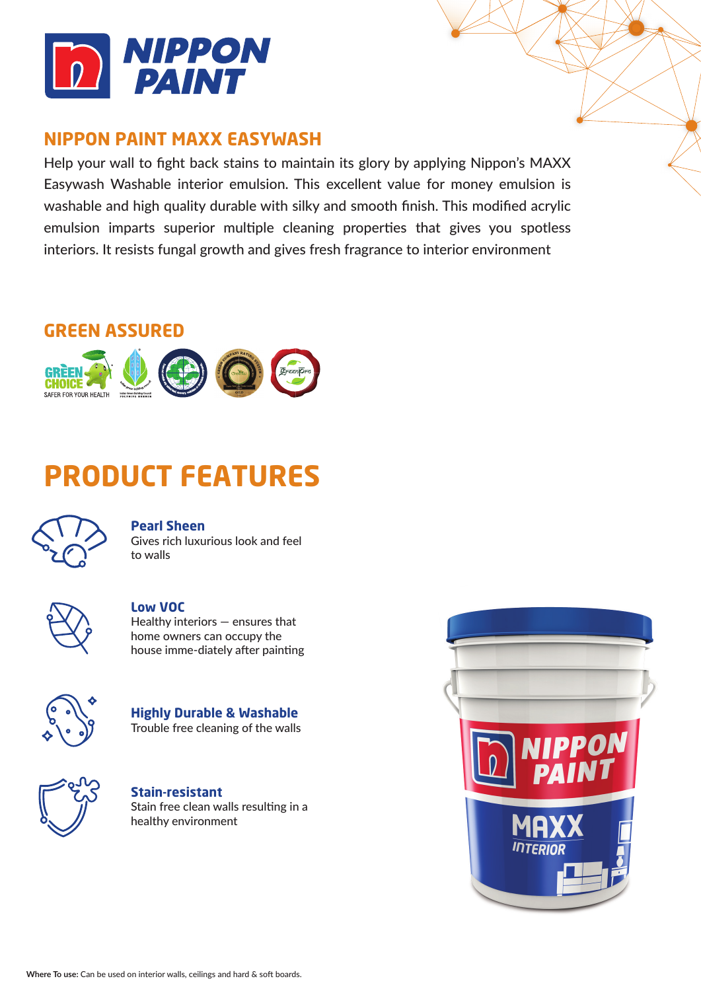

## **NIPPON PAINT MAXX EASYWASH**

Help your wall to fight back stains to maintain its glory by applying Nippon's MAXX Easywash Washable interior emulsion. This excellent value for money emulsion is washable and high quality durable with silky and smooth finish. This modified acrylic emulsion imparts superior multiple cleaning properties that gives you spotless interiors. It resists fungal growth and gives fresh fragrance to interior environment

## **GREEN ASSURED**



# **PRODUCT FEATURES**



### **Pearl Sheen**

Gives rich luxurious look and feel to walls



### **Low VOC**

Healthy interiors — ensures that home owners can occupy the house imme-diately after painting



**Highly Durable & Washable** Trouble free cleaning of the walls



**Stain-resistant** Stain free clean walls resulting in a healthy environment